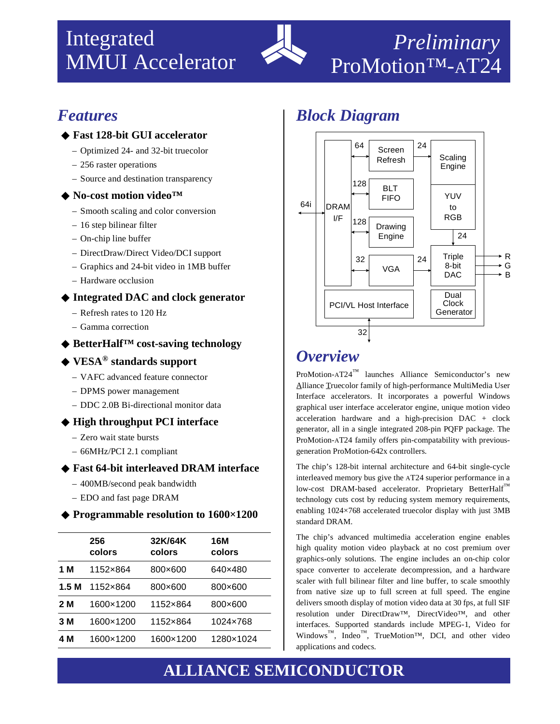# Integrated MMUI Accelerator



# *Features*

#### ◆ **Fast 128-bit GUI accelerator**

- Optimized 24- and 32-bit truecolor
- 256 raster operations
- Source and destination transparency

#### ◆ **No-cost motion video™**

- Smooth scaling and color conversion
- 16 step bilinear filter
- On-chip line buffer
- DirectDraw/Direct Video/DCI support
- Graphics and 24-bit video in 1MB buffer
- Hardware occlusion

### ◆ **Integrated DAC and clock generator**

- Refresh rates to 120 Hz
- Gamma correction

## ◆ **BetterHalf™ cost-saving technology**

## ◆ **VESA® standards support**

- VAFC advanced feature connector
- DPMS power management
- DDC 2.0B Bi-directional monitor data

### ◆ **High throughput PCI interface**

- Zero wait state bursts
- 66MHz/PCI 2.1 compliant

### ◆ **Fast 64-bit interleaved DRAM interface**

- 400MB/second peak bandwidth
- EDO and fast page DRAM

### ◆ **Programmable resolution to 1600×1200**

|      | 256<br>colors | 32K/64K<br>colors | 16M<br>colors |
|------|---------------|-------------------|---------------|
| 1 M  | 1152×864      | 800×600           | 640×480       |
| 1.5M | 1152×864      | 800×600           | 800×600       |
| 2 M  | 1600×1200     | 1152×864          | 800×600       |
| 3 M  | 1600×1200     | 1152×864          | 1024×768      |
| 4 M  | 1600×1200     | 1600×1200         | 1280×1024     |

## *Block Diagram*



## *Overview*

ProMotion-AT24™ launches Alliance Semiconductor's new Alliance Truecolor family of high-performance MultiMedia User Interface accelerators. It incorporates a powerful Windows graphical user interface accelerator engine, unique motion video acceleration hardware and a high-precision DAC + clock generator, all in a single integrated 208-pin PQFP package. The ProMotion-AT24 family offers pin-compatability with previousgeneration ProMotion-642x controllers.

The chip's 128-bit internal architecture and 64-bit single-cycle interleaved memory bus give the AT24 superior performance in a low-cost DRAM-based accelerator. Proprietary BetterHalf™ technology cuts cost by reducing system memory requirements, enabling 1024×768 accelerated truecolor display with just 3MB standard DRAM.

The chip's advanced multimedia acceleration engine enables high quality motion video playback at no cost premium over graphics-only solutions. The engine includes an on-chip color space converter to accelerate decompression, and a hardware scaler with full bilinear filter and line buffer, to scale smoothly from native size up to full screen at full speed. The engine delivers smooth display of motion video data at 30 fps, at full SIF resolution under DirectDraw™, DirectVideo™, and other interfaces. Supported standards include MPEG-1, Video for Windows<sup>™</sup>, Indeo<sup>™</sup>, TrueMotion<sup>™</sup>, DCI, and other video applications and codecs.

# **ALLIANCE SEMICONDUCTOR**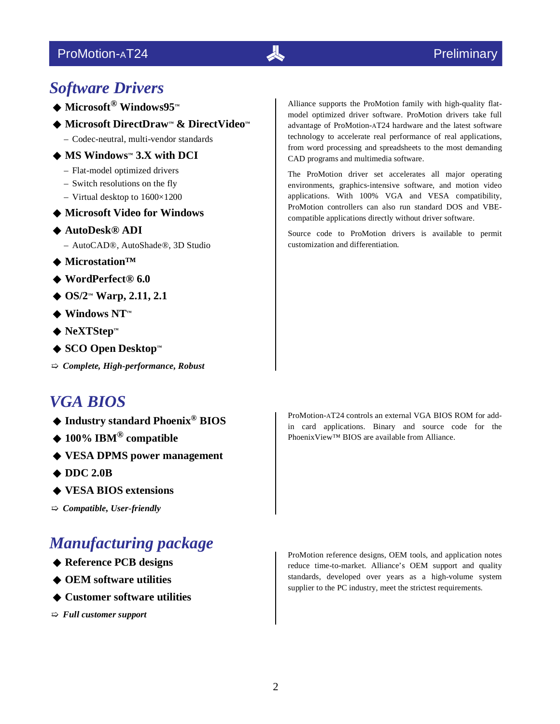## ProMotion-AT24

## *Software Drivers*

- ◆ **Microsoft® Windows95™**
- ◆ **Microsoft DirectDraw™ & DirectVideo™**
	- Codec-neutral, multi-vendor standards
- ◆ **MS Windows™ 3.X with DCI**
	- Flat-model optimized drivers
	- Switch resolutions on the fly
	- Virtual desktop to 1600×1200
- ◆ **Microsoft Video for Windows**
- ◆ **AutoDesk® ADI**
	- AutoCAD®, AutoShade®, 3D Studio
- ◆ **Microstation™**
- ◆ **WordPerfect® 6.0**
- ◆ **OS/2™ Warp, 2.11, 2.1**
- ◆ Windows NT™
- ◆ **NeXTStep™**
- ◆ **SCO Open Desktop™**
- ➯ *Complete, High-performance, Robust*

## *VGA BIOS*

- ◆ **Industry standard Phoenix® BIOS**
- ◆ **100% IBM® compatible**
- ◆ **VESA DPMS power management**
- ◆ **DDC 2.0B**
- ◆ **VESA BIOS extensions**

➯ *Compatible, User-friendly*

## *Manufacturing package*

- ◆ **Reference PCB designs**
- ◆ **OEM software utilities**
- ◆ **Customer software utilities**

➯ *Full customer support*

Alliance supports the ProMotion family with high-quality flatmodel optimized driver software. ProMotion drivers take full advantage of ProMotion-AT24 hardware and the latest software technology to accelerate real performance of real applications, from word processing and spreadsheets to the most demanding CAD programs and multimedia software.

The ProMotion driver set accelerates all major operating environments, graphics-intensive software, and motion video applications. With 100% VGA and VESA compatibility, ProMotion controllers can also run standard DOS and VBEcompatible applications directly without driver software.

Source code to ProMotion drivers is available to permit customization and differentiation.

ProMotion-AT24 controls an external VGA BIOS ROM for addin card applications. Binary and source code for the PhoenixView™ BIOS are available from Alliance.

ProMotion reference designs, OEM tools, and application notes reduce time-to-market. Alliance's OEM support and quality standards, developed over years as a high-volume system supplier to the PC industry, meet the strictest requirements.

 $\overline{\mathcal{A}}$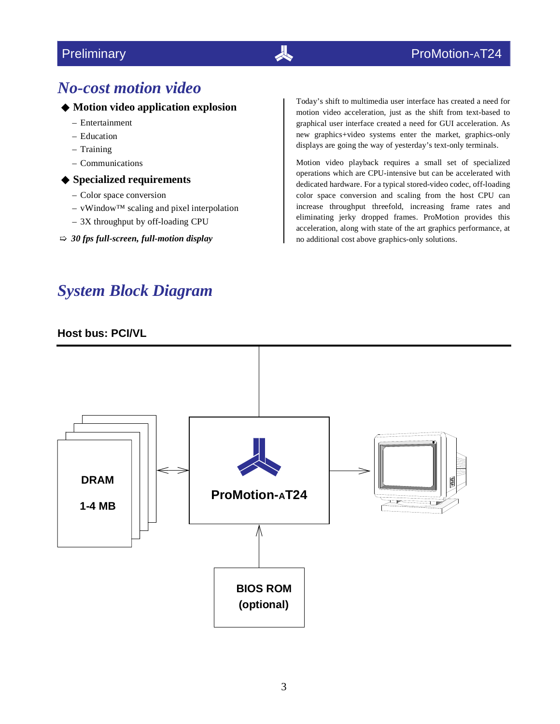## *No-cost motion video*

#### ◆ **Motion video application explosion**

- Entertainment
- Education
- Training
- Communications
- ◆ **Specialized requirements**
	- Color space conversion
	- vWindow™ scaling and pixel interpolation
	- 3X throughput by off-loading CPU
- ➯ *30 fps full-screen, full-motion display*

## *System Block Diagram*

#### **Host bus: PCI/VL**

Today's shift to multimedia user interface has created a need for motion video acceleration, just as the shift from text-based to graphical user interface created a need for GUI acceleration. As new graphics+video systems enter the market, graphics-only displays are going the way of yesterday's text-only terminals.

Motion video playback requires a small set of specialized operations which are CPU-intensive but can be accelerated with dedicated hardware. For a typical stored-video codec, off-loading color space conversion and scaling from the host CPU can increase throughput threefold, increasing frame rates and eliminating jerky dropped frames. ProMotion provides this acceleration, along with state of the art graphics performance, at no additional cost above graphics-only solutions.